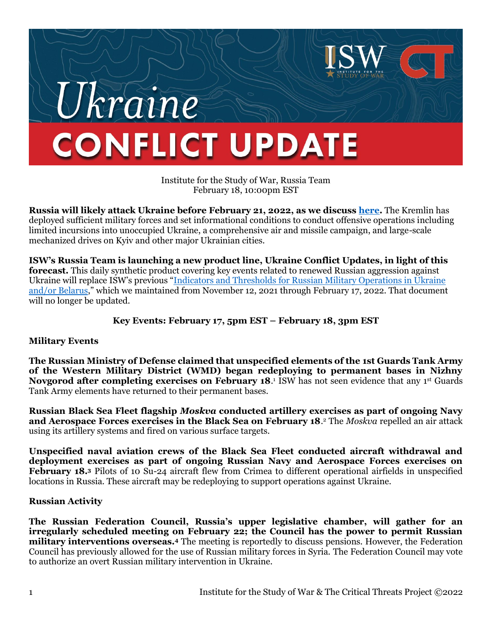# Ukraine **CONFLICT UPDATE**

Institute for the Study of War, Russia Team February 18, 10:00pm EST

**Russia will likely attack Ukraine before February 21, 2022, as we discuss [here.](https://www.understandingwar.org/backgrounder/russia-ukraine-warning-update-new-indicators-imminent-russian-attack)** The Kremlin has deployed sufficient military forces and set informational conditions to conduct offensive operations including limited incursions into unoccupied Ukraine, a comprehensive air and missile campaign, and large-scale mechanized drives on Kyiv and other major Ukrainian cities.

**ISW's Russia Team is launching a new product line, Ukraine Conflict Updates, in light of this forecast.** This daily synthetic product covering key events related to renewed Russian aggression against Ukraine will replace ISW's previous "[Indicators and Thresholds for Russian Military Operations in Ukraine](https://www.understandingwar.org/backgrounder/indicators-and-thresholds-russian-military-operations-ukraine-andor-belarus)  [and/or Belarus](https://www.understandingwar.org/backgrounder/indicators-and-thresholds-russian-military-operations-ukraine-andor-belarus)," which we maintained from November 12, 2021 through February 17, 2022. That document will no longer be updated.

## **Key Events: February 17, 5pm EST – February 18, 3pm EST**

#### **Military Events**

**The Russian Ministry of Defense claimed that unspecified elements of the 1st Guards Tank Army of the Western Military District (WMD) began redeploying to permanent bases in Nizhny Novgorod after completing exercises on February 18.<sup>1</sup> ISW has not seen evidence that any 1<sup>st</sup> Guards** Tank Army elements have returned to their permanent bases.

**Russian Black Sea Fleet flagship** *Moskva* **conducted artillery exercises as part of ongoing Navy and Aerospace Forces exercises in the Black Sea on February 18**. <sup>2</sup> The *Moskva* repelled an air attack using its artillery systems and fired on various surface targets.

**Unspecified naval aviation crews of the Black Sea Fleet conducted aircraft withdrawal and deployment exercises as part of ongoing Russian Navy and Aerospace Forces exercises on February 18.<sup>3</sup>** Pilots of 10 Su-24 aircraft flew from Crimea to different operational airfields in unspecified locations in Russia. These aircraft may be redeploying to support operations against Ukraine.

#### **Russian Activity**

**The Russian Federation Council, Russia's upper legislative chamber, will gather for an irregularly scheduled meeting on February 22; the Council has the power to permit Russian military interventions overseas.<sup>4</sup>** The meeting is reportedly to discuss pensions. However, the Federation Council has previously allowed for the use of Russian military forces in Syria. The Federation Council may vote to authorize an overt Russian military intervention in Ukraine.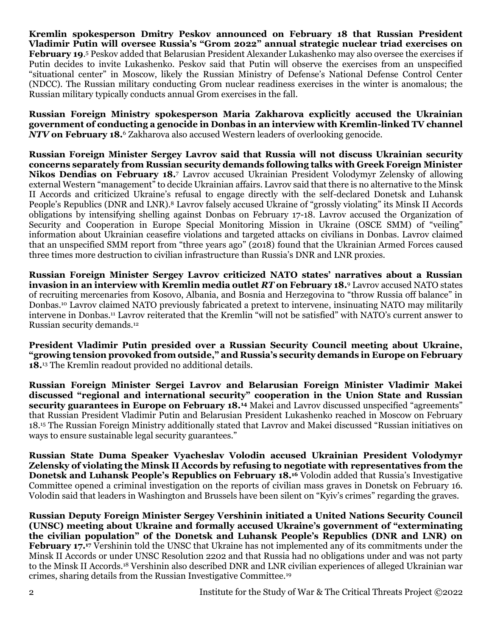**Kremlin spokesperson Dmitry Peskov announced on February 18 that Russian President Vladimir Putin will oversee Russia's "Grom 2022" annual strategic nuclear triad exercises on February 19**. <sup>5</sup> Peskov added that Belarusian President Alexander Lukashenko may also oversee the exercises if Putin decides to invite Lukashenko. Peskov said that Putin will observe the exercises from an unspecified "situational center" in Moscow, likely the Russian Ministry of Defense's National Defense Control Center (NDCC). The Russian military conducting Grom nuclear readiness exercises in the winter is anomalous; the Russian military typically conducts annual Grom exercises in the fall.

**Russian Foreign Ministry spokesperson Maria Zakharova explicitly accused the Ukrainian government of conducting a genocide in Donbas in an interview with Kremlin-linked TV channel**  *NTV* **on February 18.**<sup>6</sup> Zakharova also accused Western leaders of overlooking genocide.

**Russian Foreign Minister Sergey Lavrov said that Russia will not discuss Ukrainian security concerns separately from Russian security demands following talks with Greek Foreign Minister Nikos Dendias on February 18.**<sup>7</sup> Lavrov accused Ukrainian President Volodymyr Zelensky of allowing external Western "management" to decide Ukrainian affairs. Lavrov said that there is no alternative to the Minsk II Accords and criticized Ukraine's refusal to engage directly with the self-declared Donetsk and Luhansk People's Republics (DNR and LNR). <sup>8</sup> Lavrov falsely accused Ukraine of "grossly violating" its Minsk II Accords obligations by intensifying shelling against Donbas on February 17-18. Lavrov accused the Organization of Security and Cooperation in Europe Special Monitoring Mission in Ukraine (OSCE SMM) of "veiling" information about Ukrainian ceasefire violations and targeted attacks on civilians in Donbas. Lavrov claimed that an unspecified SMM report from "three years ago" (2018) found that the Ukrainian Armed Forces caused three times more destruction to civilian infrastructure than Russia's DNR and LNR proxies.

**Russian Foreign Minister Sergey Lavrov criticized NATO states' narratives about a Russian invasion in an interview with Kremlin media outlet** *RT* **on February 18.**<sup>9</sup> Lavrov accused NATO states of recruiting mercenaries from Kosovo, Albania, and Bosnia and Herzegovina to "throw Russia off balance" in Donbas.<sup>10</sup> Lavrov claimed NATO previously fabricated a pretext to intervene, insinuating NATO may militarily intervene in Donbas.<sup>11</sup> Lavrov reiterated that the Kremlin "will not be satisfied" with NATO's current answer to Russian security demands.<sup>12</sup>

**President Vladimir Putin presided over a Russian Security Council meeting about Ukraine, "growing tension provoked from outside," and Russia's security demands in Europe on February 18.**<sup>13</sup> The Kremlin readout provided no additional details.

**Russian Foreign Minister Sergei Lavrov and Belarusian Foreign Minister Vladimir Makei discussed "regional and international security" cooperation in the Union State and Russian security guarantees in Europe on February 18.<sup>14</sup>** Makei and Lavrov discussed unspecified "agreements" that Russian President Vladimir Putin and Belarusian President Lukashenko reached in Moscow on February 18.<sup>15</sup> The Russian Foreign Ministry additionally stated that Lavrov and Makei discussed "Russian initiatives on ways to ensure sustainable legal security guarantees."

**Russian State Duma Speaker Vyacheslav Volodin accused Ukrainian President Volodymyr Zelensky of violating the Minsk II Accords by refusing to negotiate with representatives from the Donetsk and Luhansk People's Republics on February 18.<sup>16</sup>** Volodin added that Russia's Investigative Committee opened a criminal investigation on the reports of civilian mass graves in Donetsk on February 16. Volodin said that leaders in Washington and Brussels have been silent on "Kyiv's crimes" regarding the graves.

**Russian Deputy Foreign Minister Sergey Vershinin initiated a United Nations Security Council (UNSC) meeting about Ukraine and formally accused Ukraine's government of "exterminating the civilian population" of the Donetsk and Luhansk People's Republics (DNR and LNR) on February 17.<sup>17</sup>** Vershinin told the UNSC that Ukraine has not implemented any of its commitments under the Minsk II Accords or under UNSC Resolution 2202 and that Russia had no obligations under and was not party to the Minsk II Accords.<sup>18</sup> Vershinin also described DNR and LNR civilian experiences of alleged Ukrainian war crimes, sharing details from the Russian Investigative Committee.19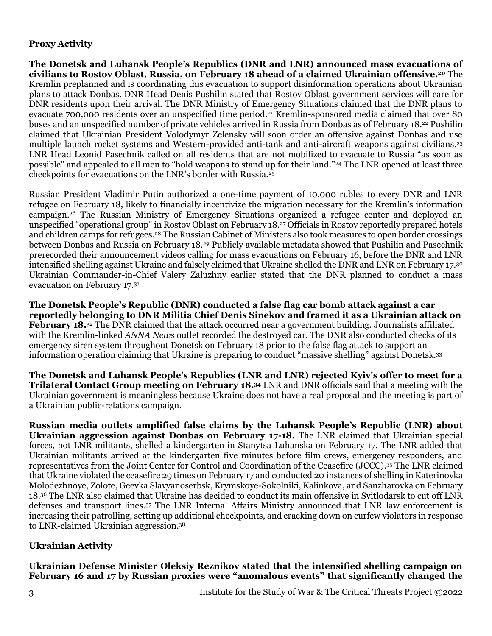## **Proxy Activity**

**The Donetsk and Luhansk People's Republics (DNR and LNR) announced mass evacuations of civilians to Rostov Oblast, Russia, on February 18 ahead of a claimed Ukrainian offensive.<sup>20</sup>** The Kremlin preplanned and is coordinating this evacuation to support disinformation operations about Ukrainian plans to attack Donbas. DNR Head Denis Pushilin stated that Rostov Oblast government services will care for DNR residents upon their arrival. The DNR Ministry of Emergency Situations claimed that the DNR plans to evacuate 700,000 residents over an unspecified time period.<sup>21</sup> Kremlin-sponsored media claimed that over 80 buses and an unspecified number of private vehicles arrived in Russia from Donbas as of February 18.<sup>22</sup> Pushilin claimed that Ukrainian President Volodymyr Zelensky will soon order an offensive against Donbas and use multiple launch rocket systems and Western-provided anti-tank and anti-aircraft weapons against civilians.<sup>23</sup> LNR Head Leonid Pasechnik called on all residents that are not mobilized to evacuate to Russia "as soon as possible" and appealed to all men to "hold weapons to stand up for their land."<sup>24</sup> The LNR opened at least three checkpoints for evacuations on the LNR's border with Russia.<sup>25</sup>

Russian President Vladimir Putin authorized a one-time payment of 10,000 rubles to every DNR and LNR refugee on February 18, likely to financially incentivize the migration necessary for the Kremlin's information campaign.<sup>26</sup> The Russian Ministry of Emergency Situations organized a refugee center and deployed an unspecified "operational group" in Rostov Oblast on February 18.<sup>27</sup> Officials in Rostov reportedly prepared hotels and children camps for refugees.<sup>28</sup> The Russian Cabinet of Ministers also took measures to open border crossings between Donbas and Russia on February 18.<sup>29</sup> Publicly available metadata showed that Pushilin and Pasechnik prerecorded their announcement videos calling for mass evacuations on February 16, before the DNR and LNR intensified shelling against Ukraine and falsely claimed that Ukraine shelled the DNR and LNR on February 17.<sup>30</sup> Ukrainian Commander-in-Chief Valery Zaluzhny earlier stated that the DNR planned to conduct a mass evacuation on February 17.<sup>31</sup>

**The Donetsk People's Republic (DNR) conducted a false flag car bomb attack against a car reportedly belonging to DNR Militia Chief Denis Sinekov and framed it as a Ukrainian attack on February 18.**<sup>32</sup> The DNR claimed that the attack occurred near a government building. Journalists affiliated with the Kremlin-linked *ANNA News* outlet recorded the destroyed car. The DNR also conducted checks of its emergency siren system throughout Donetsk on February 18 prior to the false flag attack to support an information operation claiming that Ukraine is preparing to conduct "massive shelling" against Donetsk.<sup>33</sup>

**The Donetsk and Luhansk People's Republics (LNR and LNR) rejected Kyiv's offer to meet for a Trilateral Contact Group meeting on February 18. <sup>34</sup>** LNR and DNR officials said that a meeting with the Ukrainian government is meaningless because Ukraine does not have a real proposal and the meeting is part of a Ukrainian public-relations campaign.

**Russian media outlets amplified false claims by the Luhansk People's Republic (LNR) about Ukrainian aggression against Donbas on February 17-18.** The LNR claimed that Ukrainian special forces, not LNR militants, shelled a kindergarten in Stanytsa Luhanska on February 17. The LNR added that Ukrainian militants arrived at the kindergarten five minutes before film crews, emergency responders, and representatives from the Joint Center for Control and Coordination of the Ceasefire (JCCC). <sup>35</sup> The LNR claimed that Ukraine violated the ceasefire 29 times on February 17 and conducted 20 instances of shelling in Katerinovka Molodezhnoye, Zolote, Geevka Slavyanoserbsk, Krymskoye-Sokolniki, Kalinkova, and Sanzharovka on February 18.<sup>36</sup> The LNR also claimed that Ukraine has decided to conduct its main offensive in Svitlodarsk to cut off LNR defenses and transport lines.<sup>37</sup> The LNR Internal Affairs Ministry announced that LNR law enforcement is increasing their patrolling, setting up additional checkpoints, and cracking down on curfew violators in response to LNR-claimed Ukrainian aggression.<sup>38</sup>

# **Ukrainian Activity**

**Ukrainian Defense Minister Oleksiy Reznikov stated that the intensified shelling campaign on February 16 and 17 by Russian proxies were "anomalous events" that significantly changed the**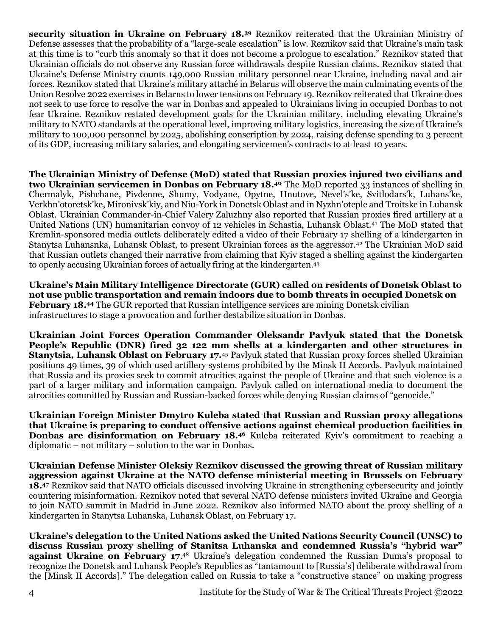**security situation in Ukraine on February 18.<sup>39</sup>** Reznikov reiterated that the Ukrainian Ministry of Defense assesses that the probability of a "large-scale escalation" is low. Reznikov said that Ukraine's main task at this time is to "curb this anomaly so that it does not become a prologue to escalation." Reznikov stated that Ukrainian officials do not observe any Russian force withdrawals despite Russian claims. Reznikov stated that Ukraine's Defense Ministry counts 149,000 Russian military personnel near Ukraine, including naval and air forces. Reznikov stated that Ukraine's military attaché in Belarus will observe the main culminating events of the Union Resolve 2022 exercises in Belarus to lower tensions on February 19. Reznikov reiterated that Ukraine does not seek to use force to resolve the war in Donbas and appealed to Ukrainians living in occupied Donbas to not fear Ukraine. Reznikov restated development goals for the Ukrainian military, including elevating Ukraine's military to NATO standards at the operational level, improving military logistics, increasing the size of Ukraine's military to 100,000 personnel by 2025, abolishing conscription by 2024, raising defense spending to 3 percent of its GDP, increasing military salaries, and elongating servicemen's contracts to at least 10 years.

**The Ukrainian Ministry of Defense (MoD) stated that Russian proxies injured two civilians and two Ukrainian servicemen in Donbas on February 18.<sup>40</sup>** The MoD reported 33 instances of shelling in Chermalyk, Pishchane, Pivdenne, Shumy, Vodyane, Opytne, Hnutove, Nevel's'ke, Svitlodars'k, Luhans'ke, Verkhn'otoretsk'ke, Mironivsk'kiy, and Niu-York in Donetsk Oblast and in Nyzhn'oteple and Troitske in Luhansk Oblast. Ukrainian Commander-in-Chief Valery Zaluzhny also reported that Russian proxies fired artillery at a United Nations (UN) humanitarian convoy of 12 vehicles in Schastia, Luhansk Oblast.<sup>41</sup> The MoD stated that Kremlin-sponsored media outlets deliberately edited a video of their February 17 shelling of a kindergarten in Stanytsa Luhansnka, Luhansk Oblast, to present Ukrainian forces as the aggressor.<sup>42</sup> The Ukrainian MoD said that Russian outlets changed their narrative from claiming that Kyiv staged a shelling against the kindergarten to openly accusing Ukrainian forces of actually firing at the kindergarten.<sup>43</sup>

**Ukraine's Main Military Intelligence Directorate (GUR) called on residents of Donetsk Oblast to not use public transportation and remain indoors due to bomb threats in occupied Donetsk on February 18.<sup>44</sup>** The GUR reported that Russian intelligence services are mining Donetsk civilian infrastructures to stage a provocation and further destabilize situation in Donbas.

**Ukrainian Joint Forces Operation Commander Oleksandr Pavlyuk stated that the Donetsk People's Republic (DNR) fired 32 122 mm shells at a kindergarten and other structures in Stanytsia, Luhansk Oblast on February 17.**<sup>45</sup> Pavlyuk stated that Russian proxy forces shelled Ukrainian positions 49 times, 39 of which used artillery systems prohibited by the Minsk II Accords. Pavlyuk maintained that Russia and its proxies seek to commit atrocities against the people of Ukraine and that such violence is a part of a larger military and information campaign. Pavlyuk called on international media to document the atrocities committed by Russian and Russian-backed forces while denying Russian claims of "genocide."

**Ukrainian Foreign Minister Dmytro Kuleba stated that Russian and Russian proxy allegations that Ukraine is preparing to conduct offensive actions against chemical production facilities in Donbas are disinformation on February 18.<sup>46</sup> Kuleba reiterated Kyiv's commitment to reaching a** diplomatic – not military – solution to the war in Donbas.

**Ukrainian Defense Minister Oleksiy Reznikov discussed the growing threat of Russian military aggression against Ukraine at the NATO defense ministerial meeting in Brussels on February 18. <sup>47</sup>** Reznikov said that NATO officials discussed involving Ukraine in strengthening cybersecurity and jointly countering misinformation. Reznikov noted that several NATO defense ministers invited Ukraine and Georgia to join NATO summit in Madrid in June 2022. Reznikov also informed NATO about the proxy shelling of a kindergarten in Stanytsa Luhanska, Luhansk Oblast, on February 17.

**Ukraine's delegation to the United Nations asked the United Nations Security Council (UNSC) to discuss Russian proxy shelling of Stanitsa Luhanska and condemned Russia's "hybrid war" against Ukraine on February 17.**<sup>48</sup> Ukraine's delegation condemned the Russian Duma's proposal to recognize the Donetsk and Luhansk People's Republics as "tantamount to [Russia's] deliberate withdrawal from the [Minsk II Accords]." The delegation called on Russia to take a "constructive stance" on making progress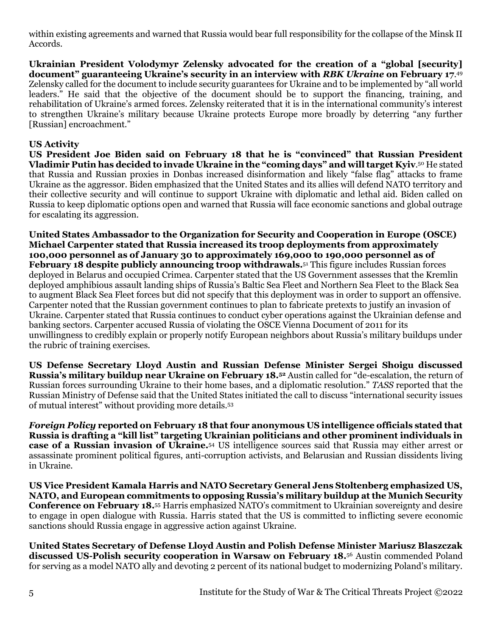within existing agreements and warned that Russia would bear full responsibility for the collapse of the Minsk II Accords.

**Ukrainian President Volodymyr Zelensky advocated for the creation of a "global [security] document" guaranteeing Ukraine's security in an interview with** *RBK Ukraine* **on February 17**. 49 Zelensky called for the document to include security guarantees for Ukraine and to be implemented by "all world leaders." He said that the objective of the document should be to support the financing, training, and rehabilitation of Ukraine's armed forces. Zelensky reiterated that it is in the international community's interest to strengthen Ukraine's military because Ukraine protects Europe more broadly by deterring "any further [Russian] encroachment."

## **US Activity**

**US President Joe Biden said on February 18 that he is "convinced" that Russian President Vladimir Putin has decided to invade Ukraine in the "coming days" and will target Kyiv**. <sup>50</sup> He stated that Russia and Russian proxies in Donbas increased disinformation and likely "false flag" attacks to frame Ukraine as the aggressor. Biden emphasized that the United States and its allies will defend NATO territory and their collective security and will continue to support Ukraine with diplomatic and lethal aid. Biden called on Russia to keep diplomatic options open and warned that Russia will face economic sanctions and global outrage for escalating its aggression.

**United States Ambassador to the Organization for Security and Cooperation in Europe (OSCE) Michael Carpenter stated that Russia increased its troop deployments from approximately 100,000 personnel as of January 30 to approximately 169,000 to 190,000 personnel as of February 18 despite publicly announcing troop withdrawals.**<sup>51</sup> This figure includes Russian forces deployed in Belarus and occupied Crimea. Carpenter stated that the US Government assesses that the Kremlin deployed amphibious assault landing ships of Russia's Baltic Sea Fleet and Northern Sea Fleet to the Black Sea to augment Black Sea Fleet forces but did not specify that this deployment was in order to support an offensive. Carpenter noted that the Russian government continues to plan to fabricate pretexts to justify an invasion of Ukraine. Carpenter stated that Russia continues to conduct cyber operations against the Ukrainian defense and banking sectors. Carpenter accused Russia of violating the OSCE Vienna Document of 2011 for its unwillingness to credibly explain or properly notify European neighbors about Russia's military buildups under the rubric of training exercises.

**US Defense Secretary Lloyd Austin and Russian Defense Minister Sergei Shoigu discussed Russia's military buildup near Ukraine on February 18.<sup>52</sup>** Austin called for "de-escalation, the return of Russian forces surrounding Ukraine to their home bases, and a diplomatic resolution." *TASS* reported that the Russian Ministry of Defense said that the United States initiated the call to discuss "international security issues of mutual interest" without providing more details.<sup>53</sup>

*Foreign Policy* **reported on February 18 that four anonymous US intelligence officials stated that Russia is drafting a "kill list" targeting Ukrainian politicians and other prominent individuals in case of a Russian invasion of Ukraine.**<sup>54</sup> US intelligence sources said that Russia may either arrest or assassinate prominent political figures, anti-corruption activists, and Belarusian and Russian dissidents living in Ukraine.

**US Vice President Kamala Harris and NATO Secretary General Jens Stoltenberg emphasized US, NATO, and European commitments to opposing Russia's military buildup at the Munich Security Conference on February 18.**<sup>55</sup> Harris emphasized NATO's commitment to Ukrainian sovereignty and desire to engage in open dialogue with Russia. Harris stated that the US is committed to inflicting severe economic sanctions should Russia engage in aggressive action against Ukraine.

**United States Secretary of Defense Lloyd Austin and Polish Defense Minister Mariusz Blaszczak discussed US-Polish security cooperation in Warsaw on February 18.**<sup>56</sup> Austin commended Poland for serving as a model NATO ally and devoting 2 percent of its national budget to modernizing Poland's military.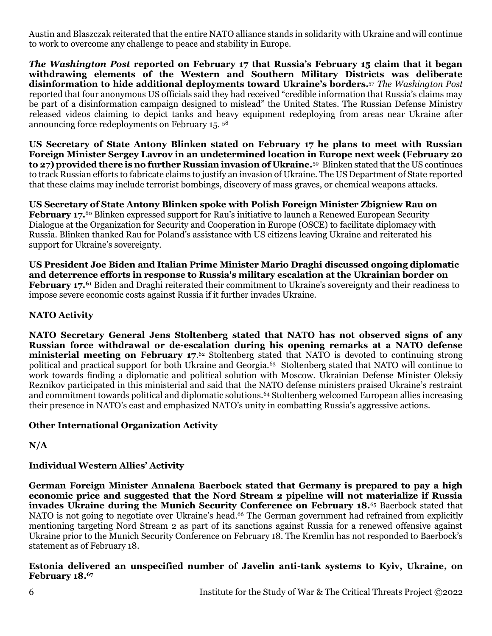Austin and Blaszczak reiterated that the entire NATO alliance stands in solidarity with Ukraine and will continue to work to overcome any challenge to peace and stability in Europe.

*The Washington Post* **reported on February 17 that Russia's February 15 claim that it began withdrawing elements of the Western and Southern Military Districts was deliberate disinformation to hide additional deployments toward Ukraine's borders.**<sup>57</sup> *The Washington Post*  reported that four anonymous US officials said they had received "credible information that Russia's claims may be part of a disinformation campaign designed to mislead" the United States. The Russian Defense Ministry released videos claiming to depict tanks and heavy equipment redeploying from areas near Ukraine after announcing force redeployments on February 15. <sup>58</sup>

**US Secretary of State Antony Blinken stated on February 17 he plans to meet with Russian Foreign Minister Sergey Lavrov in an undetermined location in Europe next week (February 20 to 27) provided there is no further Russian invasion of Ukraine.**<sup>59</sup> Blinken stated that the US continues to track Russian efforts to fabricate claims to justify an invasion of Ukraine. The US Department of State reported that these claims may include terrorist bombings, discovery of mass graves, or chemical weapons attacks.

**US Secretary of State Antony Blinken spoke with Polish Foreign Minister Zbigniew Rau on February 17.<sup>60</sup> Blinken expressed support for Rau's initiative to launch a Renewed European Security** Dialogue at the Organization for Security and Cooperation in Europe (OSCE) to facilitate diplomacy with Russia. Blinken thanked Rau for Poland's assistance with US citizens leaving Ukraine and reiterated his support for Ukraine's sovereignty.

**US President Joe Biden and Italian Prime Minister Mario Draghi discussed ongoing diplomatic and deterrence efforts in response to Russia's military escalation at the Ukrainian border on February 17.<sup>61</sup>** Biden and Draghi reiterated their commitment to Ukraine's sovereignty and their readiness to impose severe economic costs against Russia if it further invades Ukraine.

## **NATO Activity**

**NATO Secretary General Jens Stoltenberg stated that NATO has not observed signs of any Russian force withdrawal or de-escalation during his opening remarks at a NATO defense ministerial meeting on February 17**. <sup>62</sup> Stoltenberg stated that NATO is devoted to continuing strong political and practical support for both Ukraine and Georgia.<sup>63</sup> Stoltenberg stated that NATO will continue to work towards finding a diplomatic and political solution with Moscow. Ukrainian Defense Minister Oleksiv Reznikov participated in this ministerial and said that the NATO defense ministers praised Ukraine's restraint and commitment towards political and diplomatic solutions.<sup>64</sup> Stoltenberg welcomed European allies increasing their presence in NATO's east and emphasized NATO's unity in combatting Russia's aggressive actions.

#### **Other International Organization Activity**

**N/A**

# **Individual Western Allies' Activity**

**German Foreign Minister Annalena Baerbock stated that Germany is prepared to pay a high economic price and suggested that the Nord Stream 2 pipeline will not materialize if Russia invades Ukraine during the Munich Security Conference on February 18.**<sup>65</sup> Baerbock stated that NATO is not going to negotiate over Ukraine's head. <sup>66</sup> The German government had refrained from explicitly mentioning targeting Nord Stream 2 as part of its sanctions against Russia for a renewed offensive against Ukraine prior to the Munich Security Conference on February 18. The Kremlin has not responded to Baerbock's statement as of February 18.

#### **Estonia delivered an unspecified number of Javelin anti-tank systems to Kyiv, Ukraine, on February 18.67**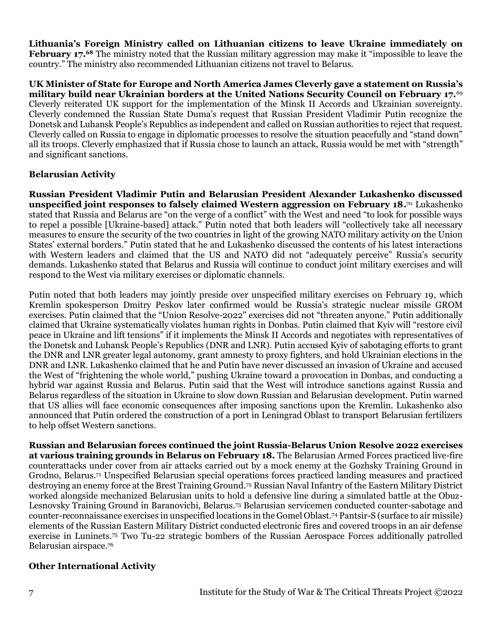**Lithuania's Foreign Ministry called on Lithuanian citizens to leave Ukraine immediately on February 17.<sup>68</sup>** The ministry noted that the Russian military aggression may make it "impossible to leave the country." The ministry also recommended Lithuanian citizens not travel to Belarus.

**UK Minister of State for Europe and North America James Cleverly gave a statement on Russia's military build near Ukrainian borders at the United Nations Security Council on February 17.**<sup>69</sup> Cleverly reiterated UK support for the implementation of the Minsk II Accords and Ukrainian sovereignty. Cleverly condemned the Russian State Duma's request that Russian President Vladimir Putin recognize the Donetsk and Luhansk People's Republics as independent and called on Russian authorities to reject that request. Cleverly called on Russia to engage in diplomatic processes to resolve the situation peacefully and "stand down" all its troops. Cleverly emphasized that if Russia chose to launch an attack, Russia would be met with "strength" and significant sanctions.

#### **Belarusian Activity**

**Russian President Vladimir Putin and Belarusian President Alexander Lukashenko discussed unspecified joint responses to falsely claimed Western aggression on February 18.** <sup>70</sup> Lukashenko stated that Russia and Belarus are "on the verge of a conflict" with the West and need "to look for possible ways to repel a possible [Ukraine-based] attack." Putin noted that both leaders will "collectively take all necessary measures to ensure the security of the two countries in light of the growing NATO military activity on the Union States' external borders." Putin stated that he and Lukashenko discussed the contents of his latest interactions with Western leaders and claimed that the US and NATO did not "adequately perceive" Russia's security demands. Lukashenko stated that Belarus and Russia will continue to conduct joint military exercises and will respond to the West via military exercises or diplomatic channels.

Putin noted that both leaders may jointly preside over unspecified military exercises on February 19, which Kremlin spokesperson Dmitry Peskov later confirmed would be Russia's strategic nuclear missile GROM exercises. Putin claimed that the "Union Resolve-2022" exercises did not "threaten anyone." Putin additionally claimed that Ukraine systematically violates human rights in Donbas. Putin claimed that Kyiv will "restore civil peace in Ukraine and lift tensions" if it implements the Minsk II Accords and negotiates with representatives of the Donetsk and Luhansk People's Republics (DNR and LNR). Putin accused Kyiv of sabotaging efforts to grant the DNR and LNR greater legal autonomy, grant amnesty to proxy fighters, and hold Ukrainian elections in the DNR and LNR. Lukashenko claimed that he and Putin have never discussed an invasion of Ukraine and accused the West of "frightening the whole world," pushing Ukraine toward a provocation in Donbas, and conducting a hybrid war against Russia and Belarus. Putin said that the West will introduce sanctions against Russia and Belarus regardless of the situation in Ukraine to slow down Russian and Belarusian development. Putin warned that US allies will face economic consequences after imposing sanctions upon the Kremlin. Lukashenko also announced that Putin ordered the construction of a port in Leningrad Oblast to transport Belarusian fertilizers to help offset Western sanctions.

**Russian and Belarusian forces continued the joint Russia-Belarus Union Resolve 2022 exercises at various training grounds in Belarus on February 18.** The Belarusian Armed Forces practiced live-fire counterattacks under cover from air attacks carried out by a mock enemy at the Gozhsky Training Ground in Grodno, Belarus.<sup>71</sup> Unspecified Belarusian special operations forces practiced landing measures and practiced destroying an enemy force at the Brest Training Ground.<sup>72</sup> Russian Naval Infantry of the Eastern Military District worked alongside mechanized Belarusian units to hold a defensive line during a simulated battle at the Obuz-Lesnovsky Training Ground in Baranovichi, Belarus.<sup>73</sup> Belarusian servicemen conducted counter-sabotage and counter-reconnaissance exercises in unspecified locations in the Gomel Oblast.<sup>74</sup> Pantsir-S (surface to air missile) elements of the Russian Eastern Military District conducted electronic fires and covered troops in an air defense exercise in Luninets.<sup>75</sup> Two Tu-22 strategic bombers of the Russian Aerospace Forces additionally patrolled Belarusian airspace.<sup>76</sup>

#### **Other International Activity**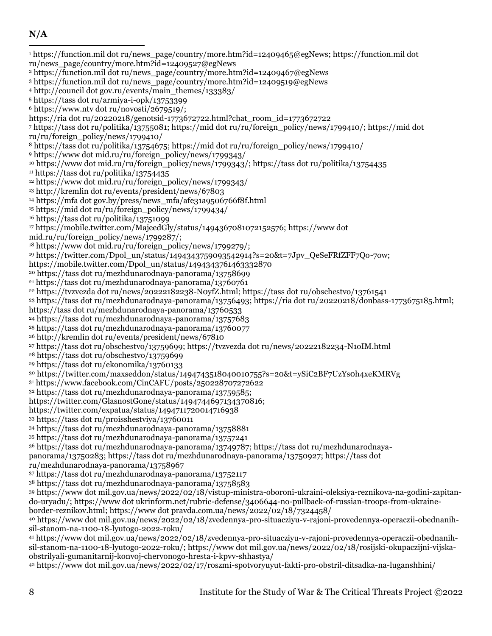## **N/A**

 https://function.mil dot ru/news\_page/country/more.htm?id=12409465@egNews; https://function.mil dot ru/news\_page/country/more.htm?id=12409527@egNews https://function.mil dot ru/news\_page/country/more.htm?id=12409467@egNews https://function.mil dot ru/news\_page/country/more.htm?id=12409519@egNews http://council dot gov.ru/events/main\_themes/133383/ https://tass dot ru/armiya-i-opk/13753399  $6 \text{ https://www.ntv dot ru/novosti/2679519/};$ https://ria dot ru/20220218/genotsid-1773672722.html?chat\_room\_id=1773672722 https://tass dot ru/politika/13755081; https://mid dot ru/ru/foreign\_policy/news/1799410/; https://mid dot ru/ru/foreign\_policy/news/1799410/ https://tass dot ru/politika/13754675; https://mid dot ru/ru/foreign\_policy/news/1799410/ https://www dot mid.ru/ru/foreign\_policy/news/1799343/ https://www dot mid.ru/ru/foreign\_policy/news/1799343/; https://tass dot ru/politika/13754435  $11 \text{ https://tass dot ru/politika/13754435}$  https://www dot mid.ru/ru/foreign\_policy/news/1799343/ http://kremlin dot ru/events/president/news/67803 https://mfa dot gov.by/press/news\_mfa/afe31a9506766f8f.html <sup>15</sup> https://mid dot ru/ru/foreign\_policy/news/1799434/ https://tass dot ru/politika/13751099 https://mobile.twitter.com/MajeedGly/status/1494367081072152576; https://www dot mid.ru/ru/foreign\_policy/news/1799287/;  $18 \text{ https://www dot mid.ru/ru/foreign-policy/news/1799279/};$  https://twitter.com/Dpol\_un/status/1494343759093542914?s=20&t=7Jpv\_QeSeFRfZFF7Qo-7ow; https://mobile.twitter.com/Dpol\_un/status/1494343761463332870 https://tass dot ru/mezhdunarodnaya-panorama/13758699 https://tass dot ru/mezhdunarodnaya-panorama/13760761 https://tvzvezda dot ru/news/20222182238-N0yfZ.html; https://tass dot ru/obschestvo/13761541 https://tass dot ru/mezhdunarodnaya-panorama/13756493; https://ria dot ru/20220218/donbass-1773675185.html; https://tass dot ru/mezhdunarodnaya-panorama/13760533 https://tass dot ru/mezhdunarodnaya-panorama/13757683 https://tass dot ru/mezhdunarodnaya-panorama/13760077 http://kremlin dot ru/events/president/news/67810 https://tass dot ru/obschestvo/13759699; https://tvzvezda dot ru/news/20222182234-N1oIM.html https://tass dot ru/obschestvo/13759699 https://tass dot ru/ekonomika/13760133 https://twitter.com/maxseddon/status/1494743518040010755?s=20&t=ySiC2BF7UzYs0h4xeKMRVg https://www.facebook.com/CinCAFU/posts/250228707272622 https://tass dot ru/mezhdunarodnaya-panorama/13759585; https://twitter.com/GlasnostGone/status/1494744697134370816; https://twitter.com/expatua/status/1494711720014716938 https://tass dot ru/proisshestviya/13760011 https://tass dot ru/mezhdunarodnaya-panorama/13758881 https://tass dot ru/mezhdunarodnaya-panorama/13757241 https://tass dot ru/mezhdunarodnaya-panorama/13749787; https://tass dot ru/mezhdunarodnayapanorama/13750283; https://tass dot ru/mezhdunarodnaya-panorama/13750927; https://tass dot ru/mezhdunarodnaya-panorama/13758967 https://tass dot ru/mezhdunarodnaya-panorama/13752117 https://tass dot ru/mezhdunarodnaya-panorama/13758583 https://www dot mil.gov.ua/news/2022/02/18/vistup-ministra-oboroni-ukraini-oleksiya-reznikova-na-godini-zapitando-uryadu/; https://www dot ukrinform.net/rubric-defense/3406644-no-pullback-of-russian-troops-from-ukraineborder-reznikov.html; https://www dot pravda.com.ua/news/2022/02/18/7324458/ https://www dot mil.gov.ua/news/2022/02/18/zvedennya-pro-situacziyu-v-rajoni-provedennya-operaczii-obednanihsil-stanom-na-1100-18-lyutogo-2022-roku/ https://www dot mil.gov.ua/news/2022/02/18/zvedennya-pro-situacziyu-v-rajoni-provedennya-operaczii-obednanihsil-stanom-na-1100-18-lyutogo-2022-roku/; https://www dot mil.gov.ua/news/2022/02/18/rosijski-okupaczijni-vijskaobstrilyali-gumanitarnij-konvoj-chervonogo-hresta-i-kpvv-shhastya/ https://www dot mil.gov.ua/news/2022/02/17/roszmi-spotvoryuyut-fakti-pro-obstril-ditsadka-na-luganshhini/